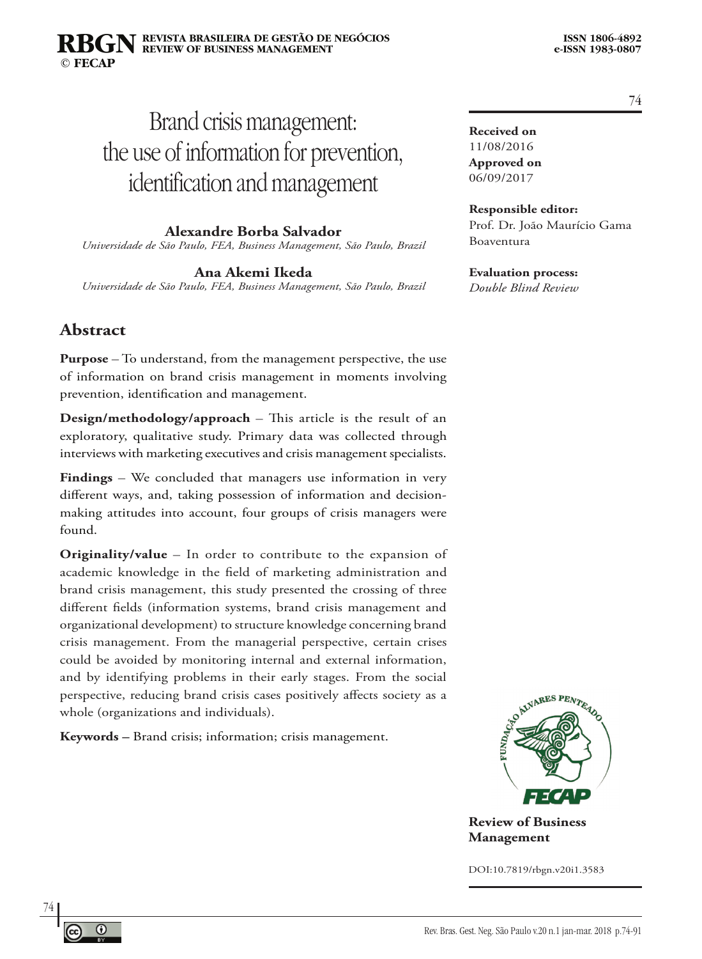#### **REVISTA BRASILEIRA DE GESTÃO DE NEGÓCIOS ISSN 1806-4892 REVIEW OF BUSINESS MANAGEMENT © FECAP RBGN**

# Brand crisis management: the use of information for prevention, identification and management

**Alexandre Borba Salvador** *Universidade de São Paulo, FEA, Business Management, São Paulo, Brazil*

**Ana Akemi Ikeda**

*Universidade de São Paulo, FEA, Business Management, São Paulo, Brazil*

#### **Abstract**

**Purpose** – To understand, from the management perspective, the use of information on brand crisis management in moments involving prevention, identification and management.

**Design/methodology/approach** – This article is the result of an exploratory, qualitative study. Primary data was collected through interviews with marketing executives and crisis management specialists.

**Findings** – We concluded that managers use information in very different ways, and, taking possession of information and decisionmaking attitudes into account, four groups of crisis managers were found.

**Originality/value** – In order to contribute to the expansion of academic knowledge in the field of marketing administration and brand crisis management, this study presented the crossing of three different fields (information systems, brand crisis management and organizational development) to structure knowledge concerning brand crisis management. From the managerial perspective, certain crises could be avoided by monitoring internal and external information, and by identifying problems in their early stages. From the social perspective, reducing brand crisis cases positively affects society as a whole (organizations and individuals).

**Keywords –** Brand crisis; information; crisis management.



**Review of Business Management**

DOI:10.7819/rbgn.v20i1.3583

74

**Received on** 11/08/2016 **Approved on** 06/09/2017

#### **Responsible editor:**

Prof. Dr. João Maurício Gama Boaventura

#### **Evaluation process:**

*Double Blind Review*

 $^\circledR$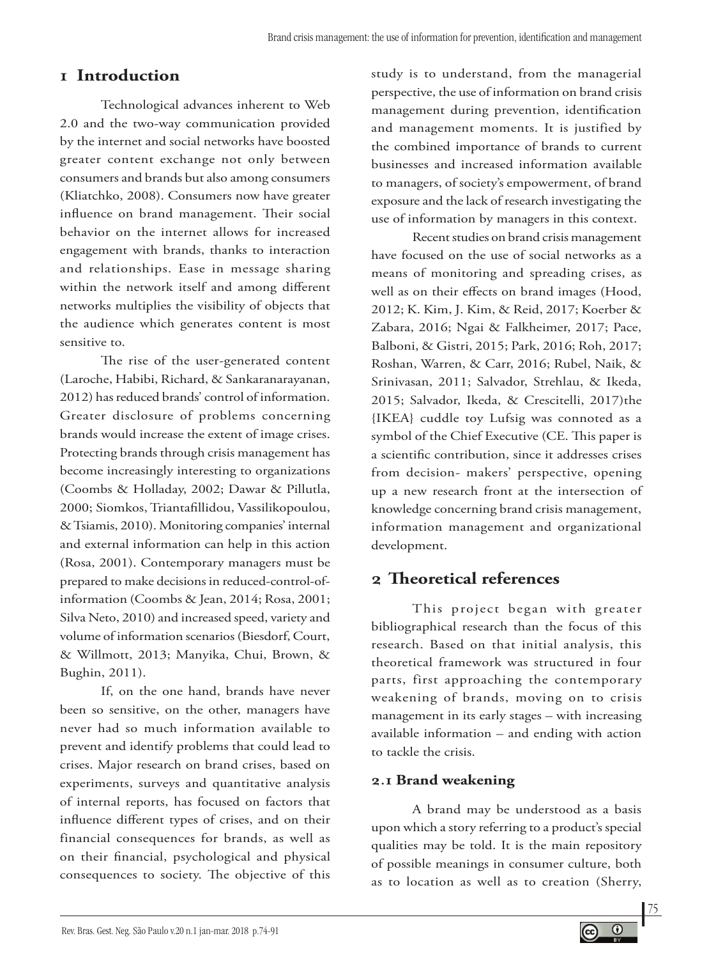# **1 Introduction**

Technological advances inherent to Web 2.0 and the two-way communication provided by the internet and social networks have boosted greater content exchange not only between consumers and brands but also among consumers (Kliatchko, 2008). Consumers now have greater influence on brand management. Their social behavior on the internet allows for increased engagement with brands, thanks to interaction and relationships. Ease in message sharing within the network itself and among different networks multiplies the visibility of objects that the audience which generates content is most sensitive to.

The rise of the user-generated content (Laroche, Habibi, Richard, & Sankaranarayanan, 2012) has reduced brands' control of information. Greater disclosure of problems concerning brands would increase the extent of image crises. Protecting brands through crisis management has become increasingly interesting to organizations (Coombs & Holladay, 2002; Dawar & Pillutla, 2000; Siomkos, Triantafillidou, Vassilikopoulou, & Tsiamis, 2010). Monitoring companies' internal and external information can help in this action (Rosa, 2001). Contemporary managers must be prepared to make decisions in reduced-control-ofinformation (Coombs & Jean, 2014; Rosa, 2001; Silva Neto, 2010) and increased speed, variety and volume of information scenarios (Biesdorf, Court, & Willmott, 2013; Manyika, Chui, Brown, & Bughin, 2011).

If, on the one hand, brands have never been so sensitive, on the other, managers have never had so much information available to prevent and identify problems that could lead to crises. Major research on brand crises, based on experiments, surveys and quantitative analysis of internal reports, has focused on factors that influence different types of crises, and on their financial consequences for brands, as well as on their financial, psychological and physical consequences to society. The objective of this

study is to understand, from the managerial perspective, the use of information on brand crisis management during prevention, identification and management moments. It is justified by the combined importance of brands to current businesses and increased information available to managers, of society's empowerment, of brand exposure and the lack of research investigating the use of information by managers in this context.

Recent studies on brand crisis management have focused on the use of social networks as a means of monitoring and spreading crises, as well as on their effects on brand images (Hood, 2012; K. Kim, J. Kim, & Reid, 2017; Koerber & Zabara, 2016; Ngai & Falkheimer, 2017; Pace, Balboni, & Gistri, 2015; Park, 2016; Roh, 2017; Roshan, Warren, & Carr, 2016; Rubel, Naik, & Srinivasan, 2011; Salvador, Strehlau, & Ikeda, 2015; Salvador, Ikeda, & Crescitelli, 2017)the {IKEA} cuddle toy Lufsig was connoted as a symbol of the Chief Executive (CE. This paper is a scientific contribution, since it addresses crises from decision- makers' perspective, opening up a new research front at the intersection of knowledge concerning brand crisis management, information management and organizational development.

# **2 Theoretical references**

This project began with greater bibliographical research than the focus of this research. Based on that initial analysis, this theoretical framework was structured in four parts, first approaching the contemporary weakening of brands, moving on to crisis management in its early stages – with increasing available information – and ending with action to tackle the crisis.

## **2.1 Brand weakening**

A brand may be understood as a basis upon which a story referring to a product's special qualities may be told. It is the main repository of possible meanings in consumer culture, both as to location as well as to creation (Sherry,

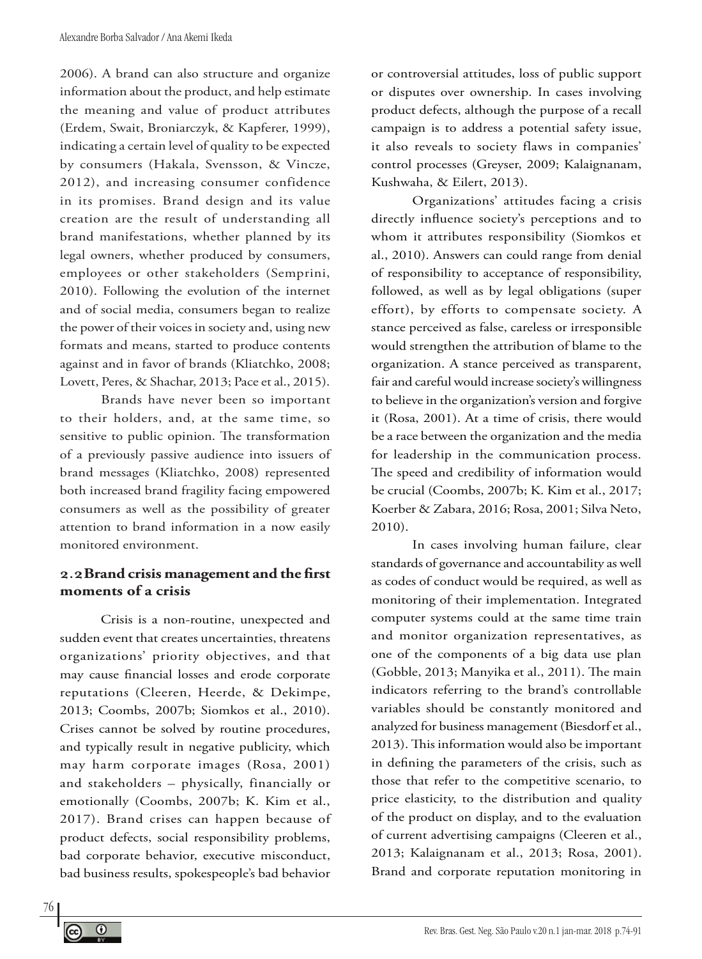2006). A brand can also structure and organize information about the product, and help estimate the meaning and value of product attributes (Erdem, Swait, Broniarczyk, & Kapferer, 1999), indicating a certain level of quality to be expected by consumers (Hakala, Svensson, & Vincze, 2012), and increasing consumer confidence in its promises. Brand design and its value creation are the result of understanding all brand manifestations, whether planned by its legal owners, whether produced by consumers, employees or other stakeholders (Semprini, 2010). Following the evolution of the internet and of social media, consumers began to realize the power of their voices in society and, using new formats and means, started to produce contents against and in favor of brands (Kliatchko, 2008; Lovett, Peres, & Shachar, 2013; Pace et al., 2015).

Brands have never been so important to their holders, and, at the same time, so sensitive to public opinion. The transformation of a previously passive audience into issuers of brand messages (Kliatchko, 2008) represented both increased brand fragility facing empowered consumers as well as the possibility of greater attention to brand information in a now easily monitored environment.

#### **2.2Brand crisis management and the first moments of a crisis**

Crisis is a non-routine, unexpected and sudden event that creates uncertainties, threatens organizations' priority objectives, and that may cause financial losses and erode corporate reputations (Cleeren, Heerde, & Dekimpe, 2013; Coombs, 2007b; Siomkos et al., 2010). Crises cannot be solved by routine procedures, and typically result in negative publicity, which may harm corporate images (Rosa, 2001) and stakeholders – physically, financially or emotionally (Coombs, 2007b; K. Kim et al., 2017). Brand crises can happen because of product defects, social responsibility problems, bad corporate behavior, executive misconduct, bad business results, spokespeople's bad behavior

or controversial attitudes, loss of public support or disputes over ownership. In cases involving product defects, although the purpose of a recall campaign is to address a potential safety issue, it also reveals to society flaws in companies' control processes (Greyser, 2009; Kalaignanam, Kushwaha, & Eilert, 2013).

Organizations' attitudes facing a crisis directly influence society's perceptions and to whom it attributes responsibility (Siomkos et al., 2010). Answers can could range from denial of responsibility to acceptance of responsibility, followed, as well as by legal obligations (super effort), by efforts to compensate society. A stance perceived as false, careless or irresponsible would strengthen the attribution of blame to the organization. A stance perceived as transparent, fair and careful would increase society's willingness to believe in the organization's version and forgive it (Rosa, 2001). At a time of crisis, there would be a race between the organization and the media for leadership in the communication process. The speed and credibility of information would be crucial (Coombs, 2007b; K. Kim et al., 2017; Koerber & Zabara, 2016; Rosa, 2001; Silva Neto, 2010).

In cases involving human failure, clear standards of governance and accountability as well as codes of conduct would be required, as well as monitoring of their implementation. Integrated computer systems could at the same time train and monitor organization representatives, as one of the components of a big data use plan (Gobble, 2013; Manyika et al., 2011). The main indicators referring to the brand's controllable variables should be constantly monitored and analyzed for business management (Biesdorf et al., 2013). This information would also be important in defining the parameters of the crisis, such as those that refer to the competitive scenario, to price elasticity, to the distribution and quality of the product on display, and to the evaluation of current advertising campaigns (Cleeren et al., 2013; Kalaignanam et al., 2013; Rosa, 2001). Brand and corporate reputation monitoring in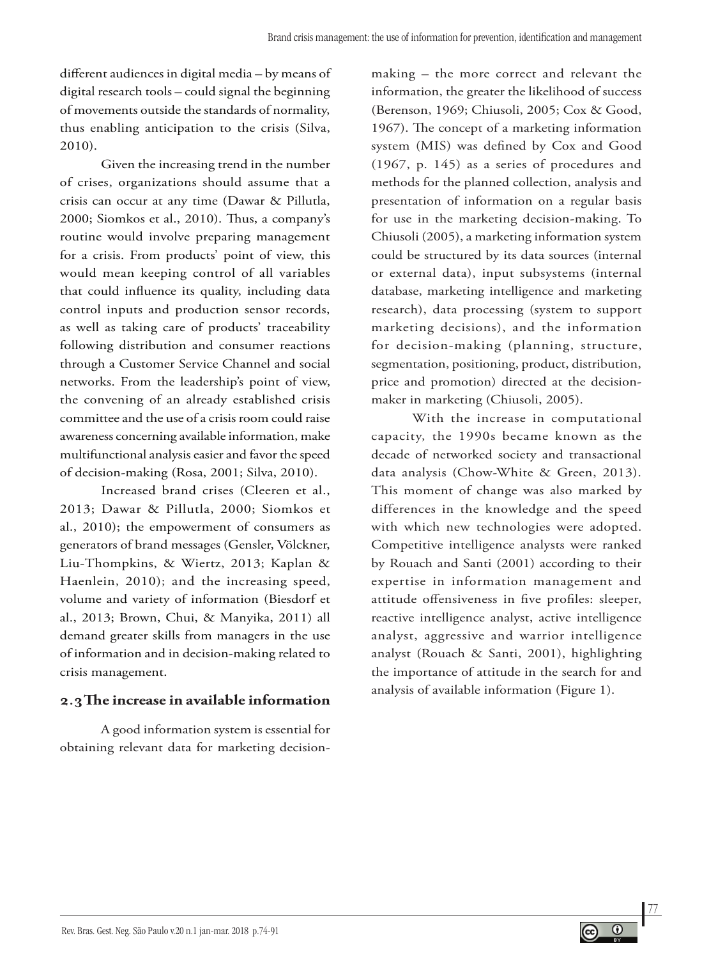different audiences in digital media – by means of digital research tools – could signal the beginning of movements outside the standards of normality, thus enabling anticipation to the crisis (Silva, 2010).

Given the increasing trend in the number of crises, organizations should assume that a crisis can occur at any time (Dawar & Pillutla, 2000; Siomkos et al., 2010). Thus, a company's routine would involve preparing management for a crisis. From products' point of view, this would mean keeping control of all variables that could influence its quality, including data control inputs and production sensor records, as well as taking care of products' traceability following distribution and consumer reactions through a Customer Service Channel and social networks. From the leadership's point of view, the convening of an already established crisis committee and the use of a crisis room could raise awareness concerning available information, make multifunctional analysis easier and favor the speed of decision-making (Rosa, 2001; Silva, 2010).

Increased brand crises (Cleeren et al., 2013; Dawar & Pillutla, 2000; Siomkos et al., 2010); the empowerment of consumers as generators of brand messages (Gensler, Völckner, Liu-Thompkins, & Wiertz, 2013; Kaplan & Haenlein, 2010); and the increasing speed, volume and variety of information (Biesdorf et al., 2013; Brown, Chui, & Manyika, 2011) all demand greater skills from managers in the use of information and in decision-making related to crisis management.

## **2.3The increase in available information**

A good information system is essential for obtaining relevant data for marketing decisionmaking – the more correct and relevant the information, the greater the likelihood of success (Berenson, 1969; Chiusoli, 2005; Cox & Good, 1967). The concept of a marketing information system (MIS) was defined by Cox and Good (1967, p. 145) as a series of procedures and methods for the planned collection, analysis and presentation of information on a regular basis for use in the marketing decision-making. To Chiusoli (2005), a marketing information system could be structured by its data sources (internal or external data), input subsystems (internal database, marketing intelligence and marketing research), data processing (system to support marketing decisions), and the information for decision-making (planning, structure, segmentation, positioning, product, distribution, price and promotion) directed at the decisionmaker in marketing (Chiusoli, 2005).

With the increase in computational capacity, the 1990s became known as the decade of networked society and transactional data analysis (Chow-White & Green, 2013). This moment of change was also marked by differences in the knowledge and the speed with which new technologies were adopted. Competitive intelligence analysts were ranked by Rouach and Santi (2001) according to their expertise in information management and attitude offensiveness in five profiles: sleeper, reactive intelligence analyst, active intelligence analyst, aggressive and warrior intelligence analyst (Rouach & Santi, 2001), highlighting the importance of attitude in the search for and analysis of available information (Figure 1).

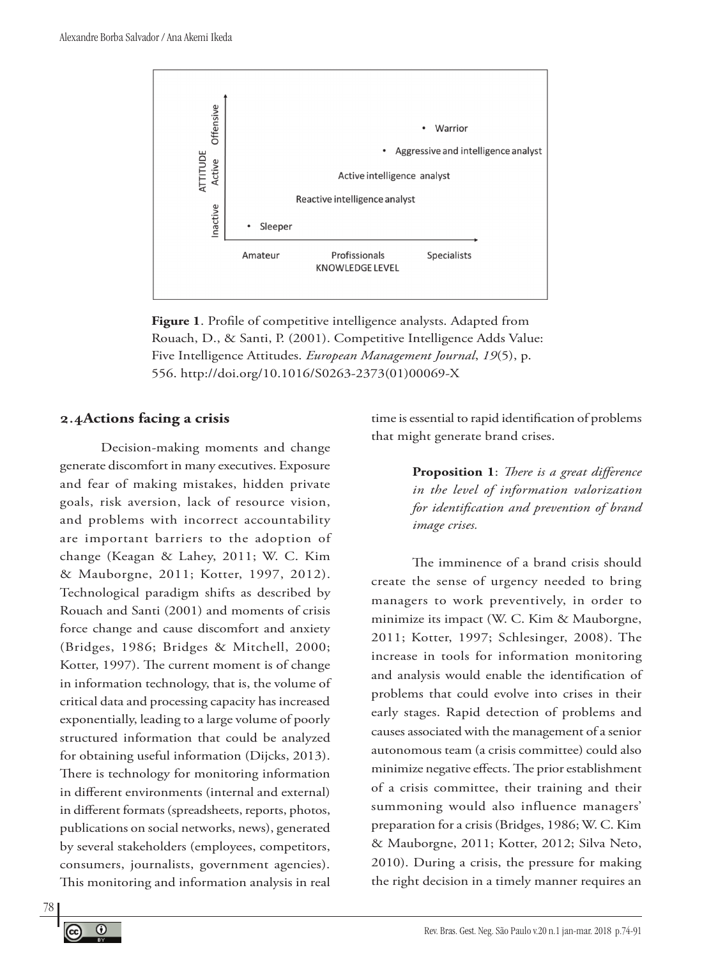

**Figure 1**. Profile of competitive intelligence analysts. Adapted from Rouach, D., & Santi, P. (2001). Competitive Intelligence Adds Value: Five Intelligence Attitudes. *European Management Journal*, *19*(5), p. 556. http://doi.org/10.1016/S0263-2373(01)00069-X

#### **2.4Actions facing a crisis**

Decision-making moments and change generate discomfort in many executives. Exposure and fear of making mistakes, hidden private goals, risk aversion, lack of resource vision, and problems with incorrect accountability are important barriers to the adoption of change (Keagan & Lahey, 2011; W. C. Kim & Mauborgne, 2011; Kotter, 1997, 2012). Technological paradigm shifts as described by Rouach and Santi (2001) and moments of crisis force change and cause discomfort and anxiety (Bridges, 1986; Bridges & Mitchell, 2000; Kotter, 1997). The current moment is of change in information technology, that is, the volume of critical data and processing capacity has increased exponentially, leading to a large volume of poorly structured information that could be analyzed for obtaining useful information (Dijcks, 2013). There is technology for monitoring information in different environments (internal and external) in different formats (spreadsheets, reports, photos, publications on social networks, news), generated by several stakeholders (employees, competitors, consumers, journalists, government agencies). This monitoring and information analysis in real

time is essential to rapid identification of problems that might generate brand crises.

> **Proposition 1**: *There is a great difference in the level of information valorization for identification and prevention of brand image crises.*

The imminence of a brand crisis should create the sense of urgency needed to bring managers to work preventively, in order to minimize its impact (W. C. Kim & Mauborgne, 2011; Kotter, 1997; Schlesinger, 2008). The increase in tools for information monitoring and analysis would enable the identification of problems that could evolve into crises in their early stages. Rapid detection of problems and causes associated with the management of a senior autonomous team (a crisis committee) could also minimize negative effects. The prior establishment of a crisis committee, their training and their summoning would also influence managers' preparation for a crisis (Bridges, 1986; W. C. Kim & Mauborgne, 2011; Kotter, 2012; Silva Neto, 2010). During a crisis, the pressure for making the right decision in a timely manner requires an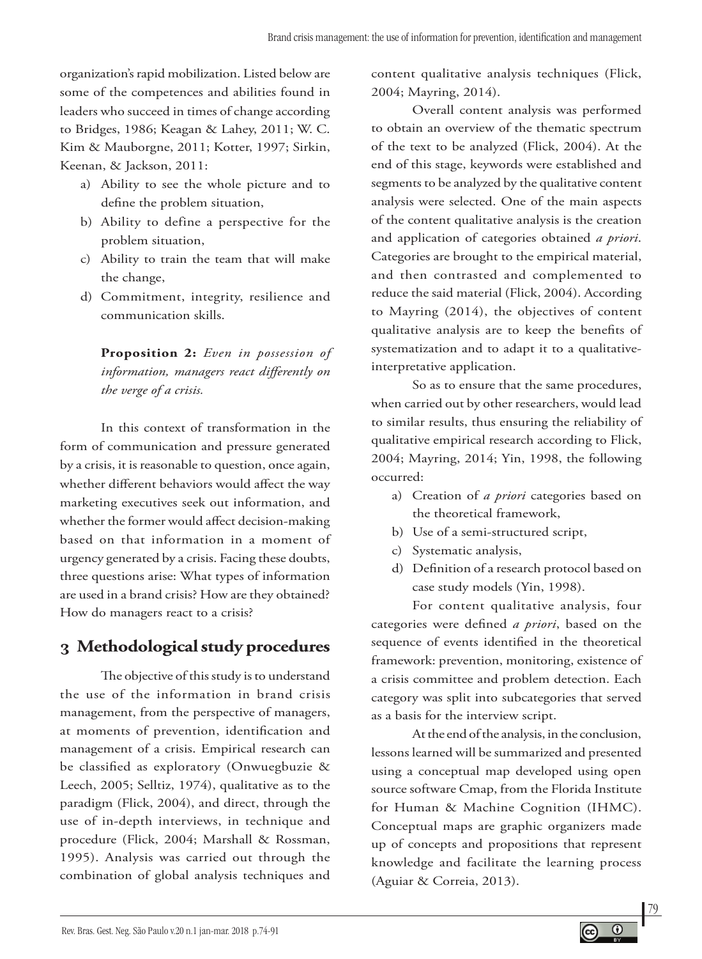organization's rapid mobilization. Listed below are some of the competences and abilities found in leaders who succeed in times of change according to Bridges, 1986; Keagan & Lahey, 2011; W. C. Kim & Mauborgne, 2011; Kotter, 1997; Sirkin, Keenan, & Jackson, 2011:

- a) Ability to see the whole picture and to define the problem situation,
- b) Ability to define a perspective for the problem situation,
- c) Ability to train the team that will make the change,
- d) Commitment, integrity, resilience and communication skills.

**Proposition 2:** *Even in possession of information, managers react differently on the verge of a crisis.*

In this context of transformation in the form of communication and pressure generated by a crisis, it is reasonable to question, once again, whether different behaviors would affect the way marketing executives seek out information, and whether the former would affect decision-making based on that information in a moment of urgency generated by a crisis. Facing these doubts, three questions arise: What types of information are used in a brand crisis? How are they obtained? How do managers react to a crisis?

# **3 Methodological study procedures**

The objective of this study is to understand the use of the information in brand crisis management, from the perspective of managers, at moments of prevention, identification and management of a crisis. Empirical research can be classified as exploratory (Onwuegbuzie & Leech, 2005; Selltiz, 1974), qualitative as to the paradigm (Flick, 2004), and direct, through the use of in-depth interviews, in technique and procedure (Flick, 2004; Marshall & Rossman, 1995). Analysis was carried out through the combination of global analysis techniques and content qualitative analysis techniques (Flick, 2004; Mayring, 2014).

Overall content analysis was performed to obtain an overview of the thematic spectrum of the text to be analyzed (Flick, 2004). At the end of this stage, keywords were established and segments to be analyzed by the qualitative content analysis were selected. One of the main aspects of the content qualitative analysis is the creation and application of categories obtained *a priori*. Categories are brought to the empirical material, and then contrasted and complemented to reduce the said material (Flick, 2004). According to Mayring (2014), the objectives of content qualitative analysis are to keep the benefits of systematization and to adapt it to a qualitativeinterpretative application.

So as to ensure that the same procedures, when carried out by other researchers, would lead to similar results, thus ensuring the reliability of qualitative empirical research according to Flick, 2004; Mayring, 2014; Yin, 1998, the following occurred:

- a) Creation of *a priori* categories based on the theoretical framework,
- b) Use of a semi-structured script,
- c) Systematic analysis,
- d) Definition of a research protocol based on case study models (Yin, 1998).

For content qualitative analysis, four categories were defined *a priori*, based on the sequence of events identified in the theoretical framework: prevention, monitoring, existence of a crisis committee and problem detection. Each category was split into subcategories that served as a basis for the interview script.

At the end of the analysis, in the conclusion, lessons learned will be summarized and presented using a conceptual map developed using open source software Cmap, from the Florida Institute for Human & Machine Cognition (IHMC). Conceptual maps are graphic organizers made up of concepts and propositions that represent knowledge and facilitate the learning process (Aguiar & Correia, 2013).

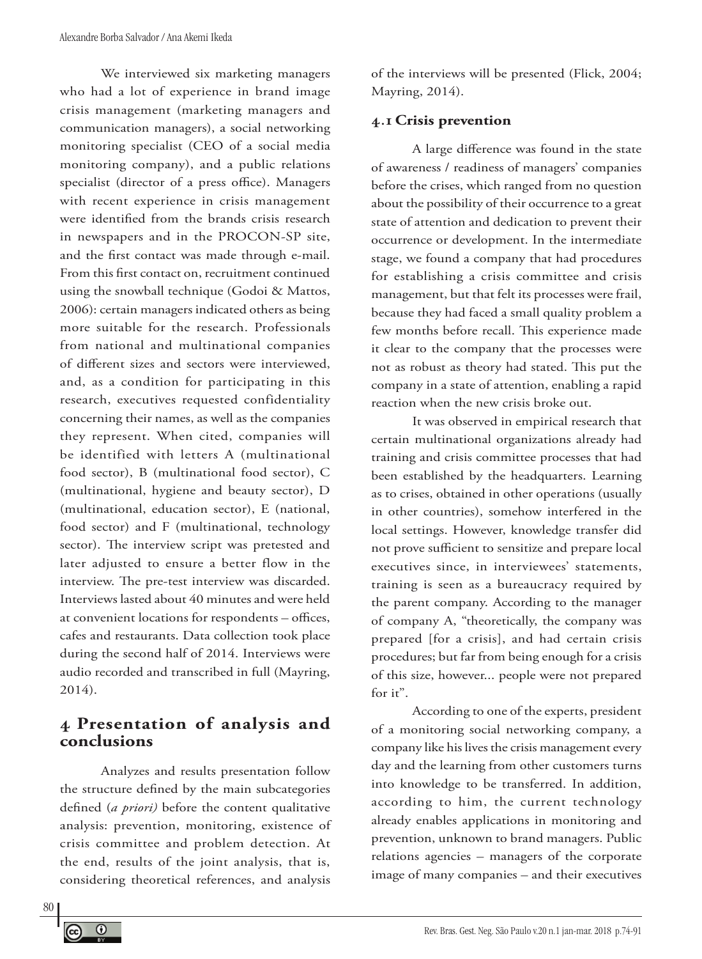We interviewed six marketing managers who had a lot of experience in brand image crisis management (marketing managers and communication managers), a social networking monitoring specialist (CEO of a social media monitoring company), and a public relations specialist (director of a press office). Managers with recent experience in crisis management were identified from the brands crisis research in newspapers and in the PROCON-SP site, and the first contact was made through e-mail. From this first contact on, recruitment continued using the snowball technique (Godoi & Mattos, 2006): certain managers indicated others as being more suitable for the research. Professionals from national and multinational companies of different sizes and sectors were interviewed, and, as a condition for participating in this research, executives requested confidentiality concerning their names, as well as the companies they represent. When cited, companies will be identified with letters A (multinational food sector), B (multinational food sector), C (multinational, hygiene and beauty sector), D (multinational, education sector), E (national, food sector) and F (multinational, technology sector). The interview script was pretested and later adjusted to ensure a better flow in the interview. The pre-test interview was discarded. Interviews lasted about 40 minutes and were held at convenient locations for respondents – offices, cafes and restaurants. Data collection took place during the second half of 2014. Interviews were audio recorded and transcribed in full (Mayring, 2014).

## **4 Presentation of analysis and conclusions**

Analyzes and results presentation follow the structure defined by the main subcategories defined (*a priori)* before the content qualitative analysis: prevention, monitoring, existence of crisis committee and problem detection. At the end, results of the joint analysis, that is, considering theoretical references, and analysis

of the interviews will be presented (Flick, 2004; Mayring, 2014).

#### **4.1 Crisis prevention**

A large difference was found in the state of awareness / readiness of managers' companies before the crises, which ranged from no question about the possibility of their occurrence to a great state of attention and dedication to prevent their occurrence or development. In the intermediate stage, we found a company that had procedures for establishing a crisis committee and crisis management, but that felt its processes were frail, because they had faced a small quality problem a few months before recall. This experience made it clear to the company that the processes were not as robust as theory had stated. This put the company in a state of attention, enabling a rapid reaction when the new crisis broke out.

It was observed in empirical research that certain multinational organizations already had training and crisis committee processes that had been established by the headquarters. Learning as to crises, obtained in other operations (usually in other countries), somehow interfered in the local settings. However, knowledge transfer did not prove sufficient to sensitize and prepare local executives since, in interviewees' statements, training is seen as a bureaucracy required by the parent company. According to the manager of company A, "theoretically, the company was prepared [for a crisis], and had certain crisis procedures; but far from being enough for a crisis of this size, however... people were not prepared for it".

According to one of the experts, president of a monitoring social networking company, a company like his lives the crisis management every day and the learning from other customers turns into knowledge to be transferred. In addition, according to him, the current technology already enables applications in monitoring and prevention, unknown to brand managers. Public relations agencies – managers of the corporate image of many companies – and their executives

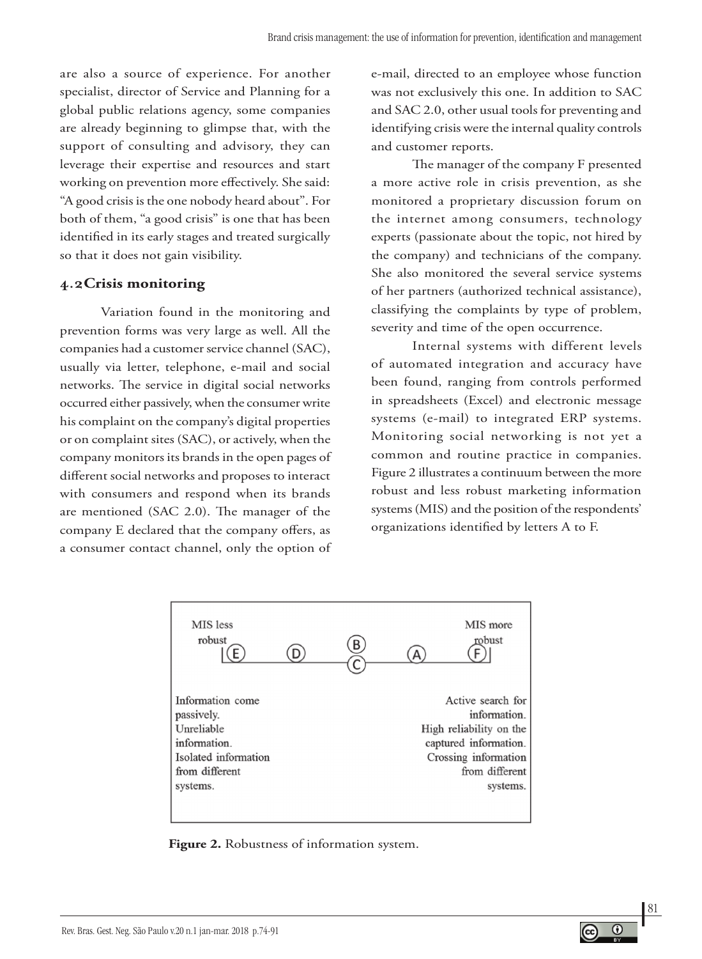are also a source of experience. For another specialist, director of Service and Planning for a global public relations agency, some companies are already beginning to glimpse that, with the support of consulting and advisory, they can leverage their expertise and resources and start working on prevention more effectively. She said: "A good crisis is the one nobody heard about". For both of them, "a good crisis" is one that has been identified in its early stages and treated surgically so that it does not gain visibility.

#### **4.2Crisis monitoring**

Variation found in the monitoring and prevention forms was very large as well. All the companies had a customer service channel (SAC), usually via letter, telephone, e-mail and social networks. The service in digital social networks occurred either passively, when the consumer write his complaint on the company's digital properties or on complaint sites (SAC), or actively, when the company monitors its brands in the open pages of different social networks and proposes to interact with consumers and respond when its brands are mentioned (SAC 2.0). The manager of the company E declared that the company offers, as a consumer contact channel, only the option of

e-mail, directed to an employee whose function was not exclusively this one. In addition to SAC and SAC 2.0, other usual tools for preventing and identifying crisis were the internal quality controls and customer reports.

The manager of the company F presented a more active role in crisis prevention, as she monitored a proprietary discussion forum on the internet among consumers, technology experts (passionate about the topic, not hired by the company) and technicians of the company. She also monitored the several service systems of her partners (authorized technical assistance), classifying the complaints by type of problem, severity and time of the open occurrence.

Internal systems with different levels of automated integration and accuracy have been found, ranging from controls performed in spreadsheets (Excel) and electronic message systems (e-mail) to integrated ERP systems. Monitoring social networking is not yet a common and routine practice in companies. Figure 2 illustrates a continuum between the more robust and less robust marketing information systems (MIS) and the position of the respondents' organizations identified by letters A to F.



**Figure 2.** Robustness of information system.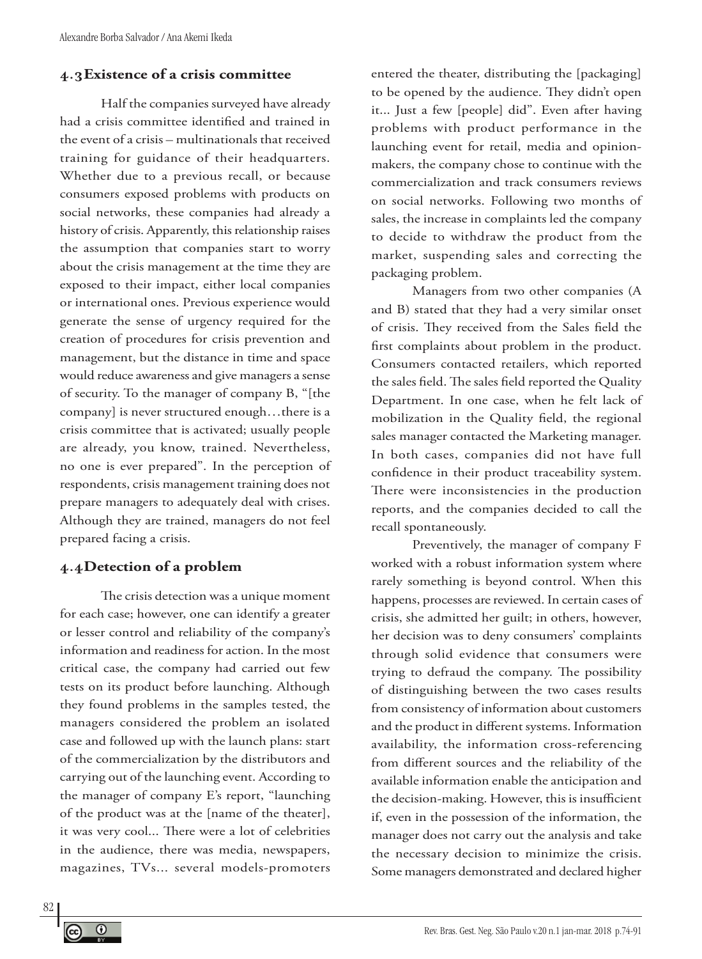#### **4.3Existence of a crisis committee**

Half the companies surveyed have already had a crisis committee identified and trained in the event of a crisis – multinationals that received training for guidance of their headquarters. Whether due to a previous recall, or because consumers exposed problems with products on social networks, these companies had already a history of crisis. Apparently, this relationship raises the assumption that companies start to worry about the crisis management at the time they are exposed to their impact, either local companies or international ones. Previous experience would generate the sense of urgency required for the creation of procedures for crisis prevention and management, but the distance in time and space would reduce awareness and give managers a sense of security. To the manager of company B, "[the company] is never structured enough…there is a crisis committee that is activated; usually people are already, you know, trained. Nevertheless, no one is ever prepared". In the perception of respondents, crisis management training does not prepare managers to adequately deal with crises. Although they are trained, managers do not feel prepared facing a crisis.

#### **4.4Detection of a problem**

The crisis detection was a unique moment for each case; however, one can identify a greater or lesser control and reliability of the company's information and readiness for action. In the most critical case, the company had carried out few tests on its product before launching. Although they found problems in the samples tested, the managers considered the problem an isolated case and followed up with the launch plans: start of the commercialization by the distributors and carrying out of the launching event. According to the manager of company E's report, "launching of the product was at the [name of the theater], it was very cool... There were a lot of celebrities in the audience, there was media, newspapers, magazines, TVs... several models-promoters

entered the theater, distributing the [packaging] to be opened by the audience. They didn't open it... Just a few [people] did". Even after having problems with product performance in the launching event for retail, media and opinionmakers, the company chose to continue with the commercialization and track consumers reviews on social networks. Following two months of sales, the increase in complaints led the company to decide to withdraw the product from the market, suspending sales and correcting the packaging problem.

Managers from two other companies (A and B) stated that they had a very similar onset of crisis. They received from the Sales field the first complaints about problem in the product. Consumers contacted retailers, which reported the sales field. The sales field reported the Quality Department. In one case, when he felt lack of mobilization in the Quality field, the regional sales manager contacted the Marketing manager. In both cases, companies did not have full confidence in their product traceability system. There were inconsistencies in the production reports, and the companies decided to call the recall spontaneously.

Preventively, the manager of company F worked with a robust information system where rarely something is beyond control. When this happens, processes are reviewed. In certain cases of crisis, she admitted her guilt; in others, however, her decision was to deny consumers' complaints through solid evidence that consumers were trying to defraud the company. The possibility of distinguishing between the two cases results from consistency of information about customers and the product in different systems. Information availability, the information cross-referencing from different sources and the reliability of the available information enable the anticipation and the decision-making. However, this is insufficient if, even in the possession of the information, the manager does not carry out the analysis and take the necessary decision to minimize the crisis. Some managers demonstrated and declared higher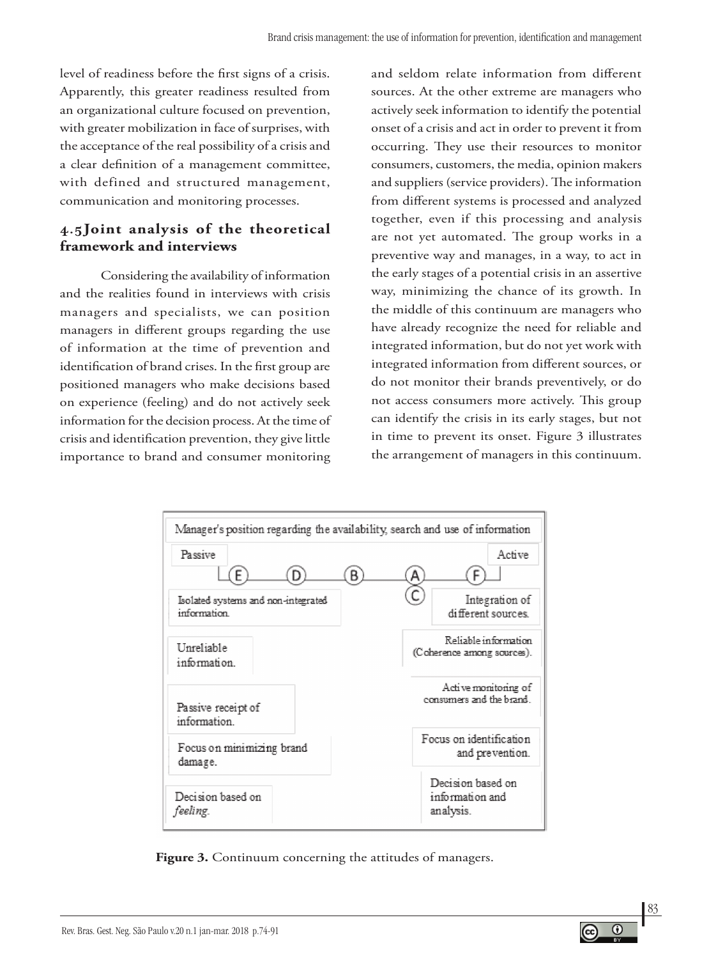level of readiness before the first signs of a crisis. Apparently, this greater readiness resulted from an organizational culture focused on prevention, with greater mobilization in face of surprises, with the acceptance of the real possibility of a crisis and a clear definition of a management committee, with defined and structured management, communication and monitoring processes.

## **4.5Joint analysis of the theoretical framework and interviews**

Considering the availability of information and the realities found in interviews with crisis managers and specialists, we can position managers in different groups regarding the use of information at the time of prevention and identification of brand crises. In the first group are positioned managers who make decisions based on experience (feeling) and do not actively seek information for the decision process. At the time of crisis and identification prevention, they give little importance to brand and consumer monitoring

and seldom relate information from different sources. At the other extreme are managers who actively seek information to identify the potential onset of a crisis and act in order to prevent it from occurring. They use their resources to monitor consumers, customers, the media, opinion makers and suppliers (service providers). The information from different systems is processed and analyzed together, even if this processing and analysis are not yet automated. The group works in a preventive way and manages, in a way, to act in the early stages of a potential crisis in an assertive way, minimizing the chance of its growth. In the middle of this continuum are managers who have already recognize the need for reliable and integrated information, but do not yet work with integrated information from different sources, or do not monitor their brands preventively, or do not access consumers more actively. This group can identify the crisis in its early stages, but not in time to prevent its onset. Figure 3 illustrates the arrangement of managers in this continuum.



Figure 3. Continuum concerning the attitudes of managers.

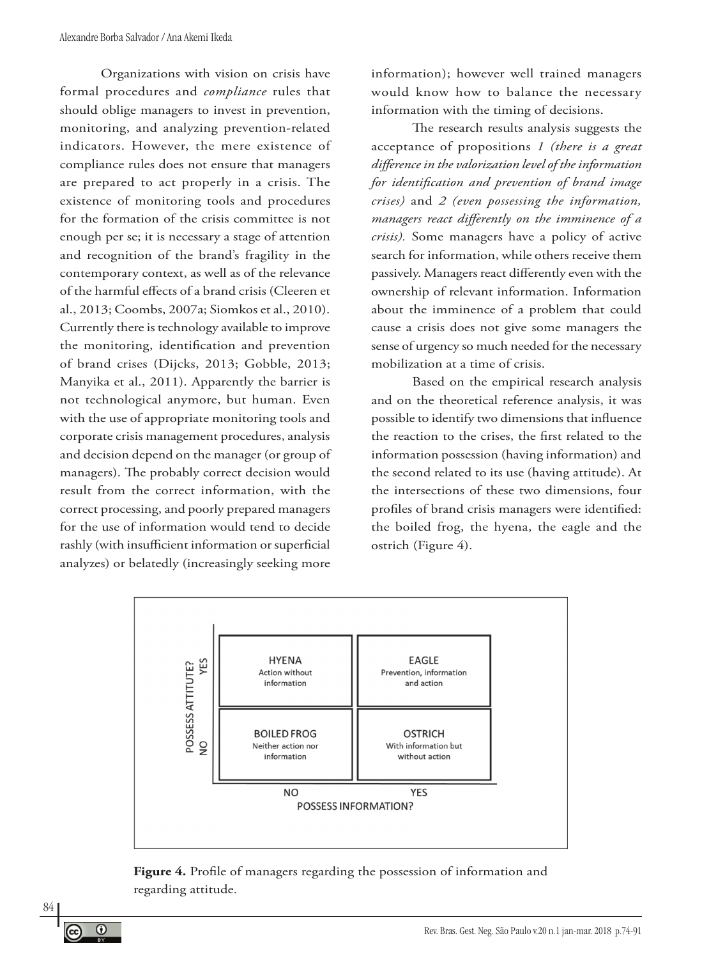Organizations with vision on crisis have formal procedures and *compliance* rules that should oblige managers to invest in prevention, monitoring, and analyzing prevention-related indicators. However, the mere existence of compliance rules does not ensure that managers are prepared to act properly in a crisis. The existence of monitoring tools and procedures for the formation of the crisis committee is not enough per se; it is necessary a stage of attention and recognition of the brand's fragility in the contemporary context, as well as of the relevance of the harmful effects of a brand crisis (Cleeren et al., 2013; Coombs, 2007a; Siomkos et al., 2010). Currently there is technology available to improve the monitoring, identification and prevention of brand crises (Dijcks, 2013; Gobble, 2013; Manyika et al., 2011). Apparently the barrier is not technological anymore, but human. Even with the use of appropriate monitoring tools and corporate crisis management procedures, analysis and decision depend on the manager (or group of managers). The probably correct decision would result from the correct information, with the correct processing, and poorly prepared managers for the use of information would tend to decide rashly (with insufficient information or superficial analyzes) or belatedly (increasingly seeking more

information); however well trained managers would know how to balance the necessary information with the timing of decisions.

The research results analysis suggests the acceptance of propositions *1 (there is a great difference in the valorization level of the information for identification and prevention of brand image crises)* and *2 (even possessing the information, managers react differently on the imminence of a crisis).* Some managers have a policy of active search for information, while others receive them passively. Managers react differently even with the ownership of relevant information. Information about the imminence of a problem that could cause a crisis does not give some managers the sense of urgency so much needed for the necessary mobilization at a time of crisis.

Based on the empirical research analysis and on the theoretical reference analysis, it was possible to identify two dimensions that influence the reaction to the crises, the first related to the information possession (having information) and the second related to its use (having attitude). At the intersections of these two dimensions, four profiles of brand crisis managers were identified: the boiled frog, the hyena, the eagle and the ostrich (Figure 4).



**Figure 4.** Profile of managers regarding the possession of information and regarding attitude.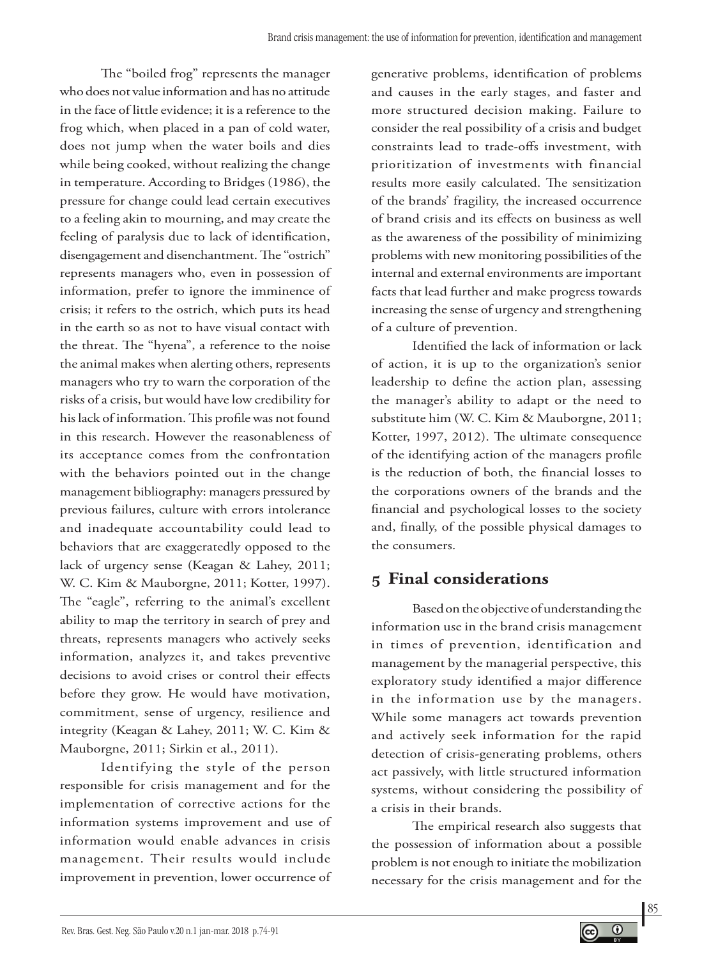The "boiled frog" represents the manager who does not value information and has no attitude in the face of little evidence; it is a reference to the frog which, when placed in a pan of cold water, does not jump when the water boils and dies while being cooked, without realizing the change in temperature. According to Bridges (1986), the pressure for change could lead certain executives to a feeling akin to mourning, and may create the feeling of paralysis due to lack of identification, disengagement and disenchantment. The "ostrich" represents managers who, even in possession of information, prefer to ignore the imminence of crisis; it refers to the ostrich, which puts its head in the earth so as not to have visual contact with the threat. The "hyena", a reference to the noise the animal makes when alerting others, represents managers who try to warn the corporation of the risks of a crisis, but would have low credibility for his lack of information. This profile was not found in this research. However the reasonableness of its acceptance comes from the confrontation with the behaviors pointed out in the change management bibliography: managers pressured by previous failures, culture with errors intolerance and inadequate accountability could lead to behaviors that are exaggeratedly opposed to the lack of urgency sense (Keagan & Lahey, 2011; W. C. Kim & Mauborgne, 2011; Kotter, 1997). The "eagle", referring to the animal's excellent ability to map the territory in search of prey and threats, represents managers who actively seeks information, analyzes it, and takes preventive decisions to avoid crises or control their effects before they grow. He would have motivation, commitment, sense of urgency, resilience and integrity (Keagan & Lahey, 2011; W. C. Kim & Mauborgne, 2011; Sirkin et al., 2011).

Identifying the style of the person responsible for crisis management and for the implementation of corrective actions for the information systems improvement and use of information would enable advances in crisis management. Their results would include improvement in prevention, lower occurrence of generative problems, identification of problems and causes in the early stages, and faster and more structured decision making. Failure to consider the real possibility of a crisis and budget constraints lead to trade-offs investment, with prioritization of investments with financial results more easily calculated. The sensitization of the brands' fragility, the increased occurrence of brand crisis and its effects on business as well as the awareness of the possibility of minimizing problems with new monitoring possibilities of the internal and external environments are important facts that lead further and make progress towards increasing the sense of urgency and strengthening of a culture of prevention.

Identified the lack of information or lack of action, it is up to the organization's senior leadership to define the action plan, assessing the manager's ability to adapt or the need to substitute him (W. C. Kim & Mauborgne, 2011; Kotter, 1997, 2012). The ultimate consequence of the identifying action of the managers profile is the reduction of both, the financial losses to the corporations owners of the brands and the financial and psychological losses to the society and, finally, of the possible physical damages to the consumers.

# **5 Final considerations**

Based on the objective of understanding the information use in the brand crisis management in times of prevention, identification and management by the managerial perspective, this exploratory study identified a major difference in the information use by the managers. While some managers act towards prevention and actively seek information for the rapid detection of crisis-generating problems, others act passively, with little structured information systems, without considering the possibility of a crisis in their brands.

The empirical research also suggests that the possession of information about a possible problem is not enough to initiate the mobilization necessary for the crisis management and for the

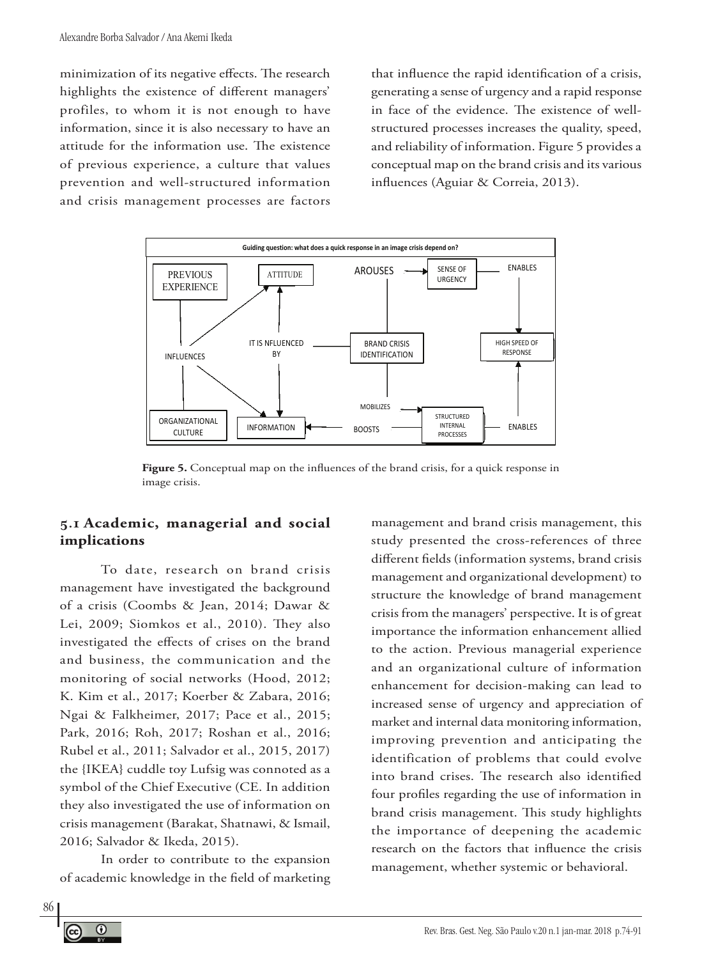minimization of its negative effects. The research highlights the existence of different managers' profiles, to whom it is not enough to have information, since it is also necessary to have an attitude for the information use. The existence of previous experience, a culture that values prevention and well-structured information and crisis management processes are factors

that influence the rapid identification of a crisis, generating a sense of urgency and a rapid response in face of the evidence. The existence of wellstructured processes increases the quality, speed, and reliability of information. Figure 5 provides a conceptual map on the brand crisis and its various influences (Aguiar & Correia, 2013).



Figure 5. Conceptual map on the influences of the brand crisis, for a quick response in image crisis.

#### **5.1 Academic, managerial and social implications**

To date, research on brand crisis management have investigated the background of a crisis (Coombs & Jean, 2014; Dawar & Lei, 2009; Siomkos et al., 2010). They also investigated the effects of crises on the brand and business, the communication and the monitoring of social networks (Hood, 2012; K. Kim et al., 2017; Koerber & Zabara, 2016; Ngai & Falkheimer, 2017; Pace et al., 2015; Park, 2016; Roh, 2017; Roshan et al., 2016; Rubel et al., 2011; Salvador et al., 2015, 2017) the {IKEA} cuddle toy Lufsig was connoted as a symbol of the Chief Executive (CE. In addition they also investigated the use of information on crisis management (Barakat, Shatnawi, & Ismail, 2016; Salvador & Ikeda, 2015).

In order to contribute to the expansion of academic knowledge in the field of marketing

management and brand crisis management, this study presented the cross-references of three different fields (information systems, brand crisis management and organizational development) to structure the knowledge of brand management crisis from the managers' perspective. It is of great importance the information enhancement allied to the action. Previous managerial experience and an organizational culture of information enhancement for decision-making can lead to increased sense of urgency and appreciation of market and internal data monitoring information, improving prevention and anticipating the identification of problems that could evolve into brand crises. The research also identified four profiles regarding the use of information in brand crisis management. This study highlights the importance of deepening the academic research on the factors that influence the crisis management, whether systemic or behavioral.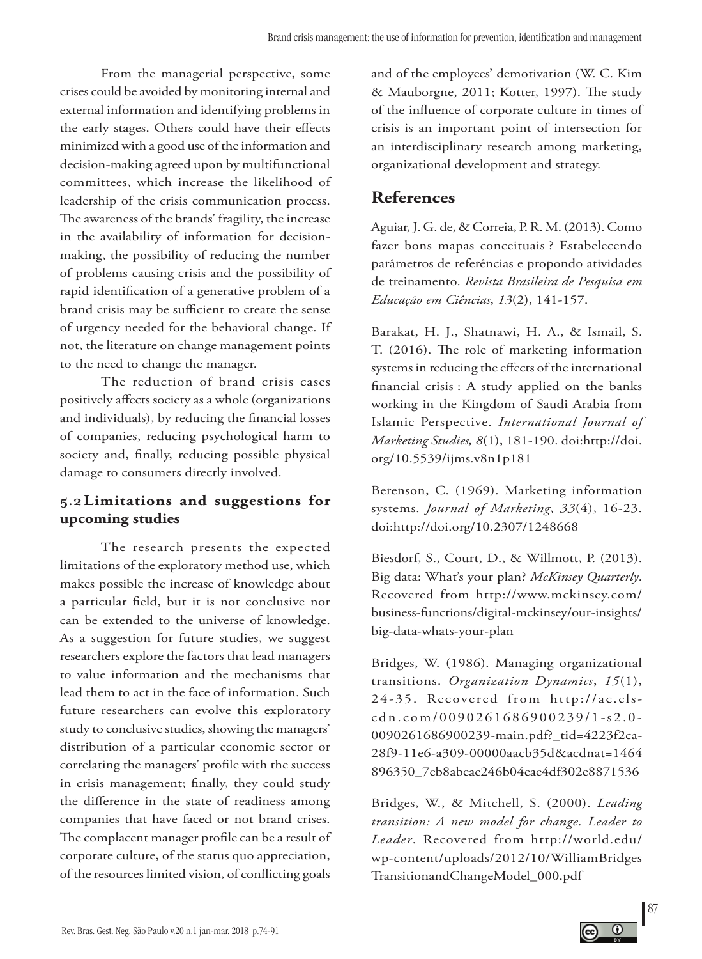From the managerial perspective, some crises could be avoided by monitoring internal and external information and identifying problems in the early stages. Others could have their effects minimized with a good use of the information and decision-making agreed upon by multifunctional committees, which increase the likelihood of leadership of the crisis communication process. The awareness of the brands' fragility, the increase in the availability of information for decisionmaking, the possibility of reducing the number of problems causing crisis and the possibility of rapid identification of a generative problem of a brand crisis may be sufficient to create the sense of urgency needed for the behavioral change. If not, the literature on change management points to the need to change the manager.

The reduction of brand crisis cases positively affects society as a whole (organizations and individuals), by reducing the financial losses of companies, reducing psychological harm to society and, finally, reducing possible physical damage to consumers directly involved.

## **5.2Limitations and suggestions for upcoming studies**

The research presents the expected limitations of the exploratory method use, which makes possible the increase of knowledge about a particular field, but it is not conclusive nor can be extended to the universe of knowledge. As a suggestion for future studies, we suggest researchers explore the factors that lead managers to value information and the mechanisms that lead them to act in the face of information. Such future researchers can evolve this exploratory study to conclusive studies, showing the managers' distribution of a particular economic sector or correlating the managers' profile with the success in crisis management; finally, they could study the difference in the state of readiness among companies that have faced or not brand crises. The complacent manager profile can be a result of corporate culture, of the status quo appreciation, of the resources limited vision, of conflicting goals

and of the employees' demotivation (W. C. Kim & Mauborgne, 2011; Kotter, 1997). The study of the influence of corporate culture in times of crisis is an important point of intersection for an interdisciplinary research among marketing, organizational development and strategy.

# **References**

Aguiar, J. G. de, & Correia, P. R. M. (2013). Como fazer bons mapas conceituais ? Estabelecendo parâmetros de referências e propondo atividades de treinamento. *Revista Brasileira de Pesquisa em Educação em Ciências*, *13*(2), 141-157.

Barakat, H. J., Shatnawi, H. A., & Ismail, S. T. (2016). The role of marketing information systems in reducing the effects of the international financial crisis : A study applied on the banks working in the Kingdom of Saudi Arabia from Islamic Perspective. *International Journal of Marketing Studies, 8*(1), 181-190. doi:http://doi. org/10.5539/ijms.v8n1p181

Berenson, C. (1969). Marketing information systems. *Journal of Marketing*, *33*(4), 16-23. doi:http://doi.org/10.2307/1248668

Biesdorf, S., Court, D., & Willmott, P. (2013). Big data: What's your plan? *McKinsey Quarterly*. Recovered from http://www.mckinsey.com/ business-functions/digital-mckinsey/our-insights/ big-data-whats-your-plan

Bridges, W. (1986). Managing organizational transitions. *Organization Dynamics*, *15*(1), 24-35. Recovered from http://ac.elscdn.com/0090261686900239/1-s2.0- 0090261686900239-main.pdf?\_tid=4223f2ca-28f9-11e6-a309-00000aacb35d&acdnat=1464 896350\_7eb8abeae246b04eae4df302e8871536

Bridges, W., & Mitchell, S. (2000). *Leading transition: A new model for change*. *Leader to Leader*. Recovered from http://world.edu/ wp-content/uploads/2012/10/WilliamBridges TransitionandChangeModel\_000.pdf

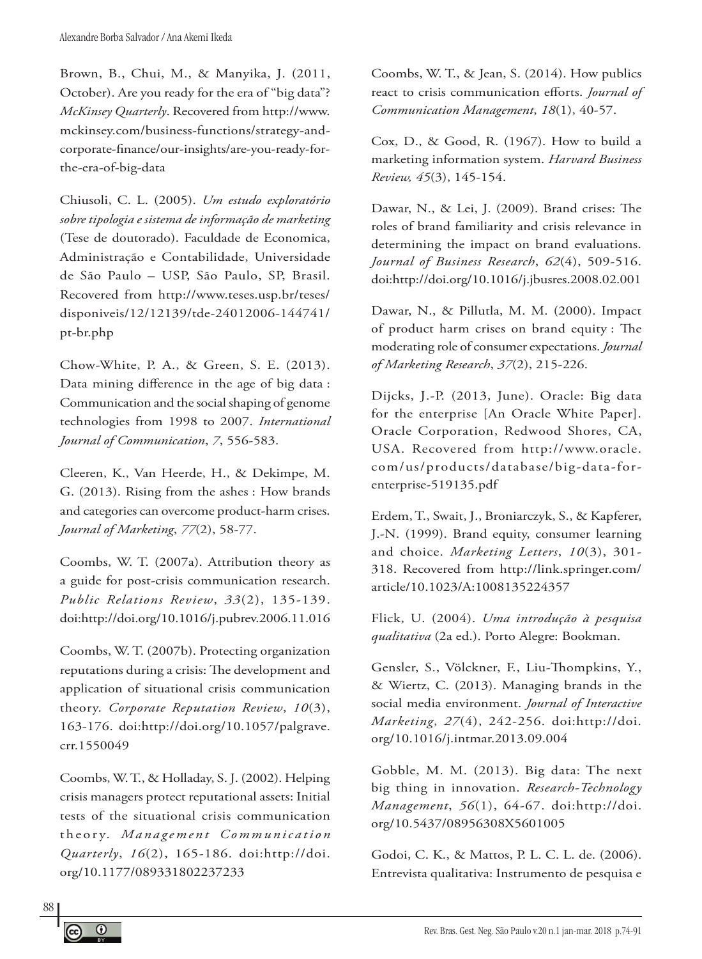Brown, B., Chui, M., & Manyika, J. (2011, October). Are you ready for the era of "big data"? *McKinsey Quarterly*. Recovered from http://www. mckinsey.com/business-functions/strategy-andcorporate-finance/our-insights/are-you-ready-forthe-era-of-big-data

Chiusoli, C. L. (2005). *Um estudo exploratório sobre tipologia e sistema de informação de marketing*  (Tese de doutorado). Faculdade de Economica, Administração e Contabilidade, Universidade de São Paulo – USP, São Paulo, SP, Brasil. Recovered from http://www.teses.usp.br/teses/ disponiveis/12/12139/tde-24012006-144741/ pt-br.php

Chow-White, P. A., & Green, S. E. (2013). Data mining difference in the age of big data : Communication and the social shaping of genome technologies from 1998 to 2007. *International Journal of Communication*, *7*, 556-583.

Cleeren, K., Van Heerde, H., & Dekimpe, M. G. (2013). Rising from the ashes : How brands and categories can overcome product-harm crises. *Journal of Marketing*, *77*(2), 58-77.

Coombs, W. T. (2007a). Attribution theory as a guide for post-crisis communication research. *Public Relations Review*, *33*(2), 135-139. doi:http://doi.org/10.1016/j.pubrev.2006.11.016

Coombs, W. T. (2007b). Protecting organization reputations during a crisis: The development and application of situational crisis communication theory. *Corporate Reputation Review*, *10*(3), 163-176. doi:http://doi.org/10.1057/palgrave. crr.1550049

Coombs, W. T., & Holladay, S. J. (2002). Helping crisis managers protect reputational assets: Initial tests of the situational crisis communication theory. *Management Communication Quarterly*, *16*(2), 165-186. doi:http://doi. org/10.1177/089331802237233

Coombs, W. T., & Jean, S. (2014). How publics react to crisis communication efforts. *Journal of Communication Management*, *18*(1), 40-57.

Cox, D., & Good, R. (1967). How to build a marketing information system. *Harvard Business Review, 45*(3), 145-154.

Dawar, N., & Lei, J. (2009). Brand crises: The roles of brand familiarity and crisis relevance in determining the impact on brand evaluations. *Journal of Business Research*, *62*(4), 509-516. doi:http://doi.org/10.1016/j.jbusres.2008.02.001

Dawar, N., & Pillutla, M. M. (2000). Impact of product harm crises on brand equity : The moderating role of consumer expectations. *Journal of Marketing Research*, *37*(2), 215-226.

Dijcks, J.-P. (2013, June). Oracle: Big data for the enterprise [An Oracle White Paper]. Oracle Corporation, Redwood Shores, CA, USA. Recovered from http://www.oracle. com/us/products/database/big-data-forenterprise-519135.pdf

Erdem, T., Swait, J., Broniarczyk, S., & Kapferer, J.-N. (1999). Brand equity, consumer learning and choice. *Marketing Letters*, *10*(3), 301- 318. Recovered from http://link.springer.com/ article/10.1023/A:1008135224357

Flick, U. (2004). *Uma introdução à pesquisa qualitativa* (2a ed.). Porto Alegre: Bookman.

Gensler, S., Völckner, F., Liu-Thompkins, Y., & Wiertz, C. (2013). Managing brands in the social media environment. *Journal of Interactive Marketing*, *27*(4), 242-256. doi:http://doi. org/10.1016/j.intmar.2013.09.004

Gobble, M. M. (2013). Big data: The next big thing in innovation. *Research-Technology Management*, *56*(1), 64-67. doi:http://doi. org/10.5437/08956308X5601005

Godoi, C. K., & Mattos, P. L. C. L. de. (2006). Entrevista qualitativa: Instrumento de pesquisa e

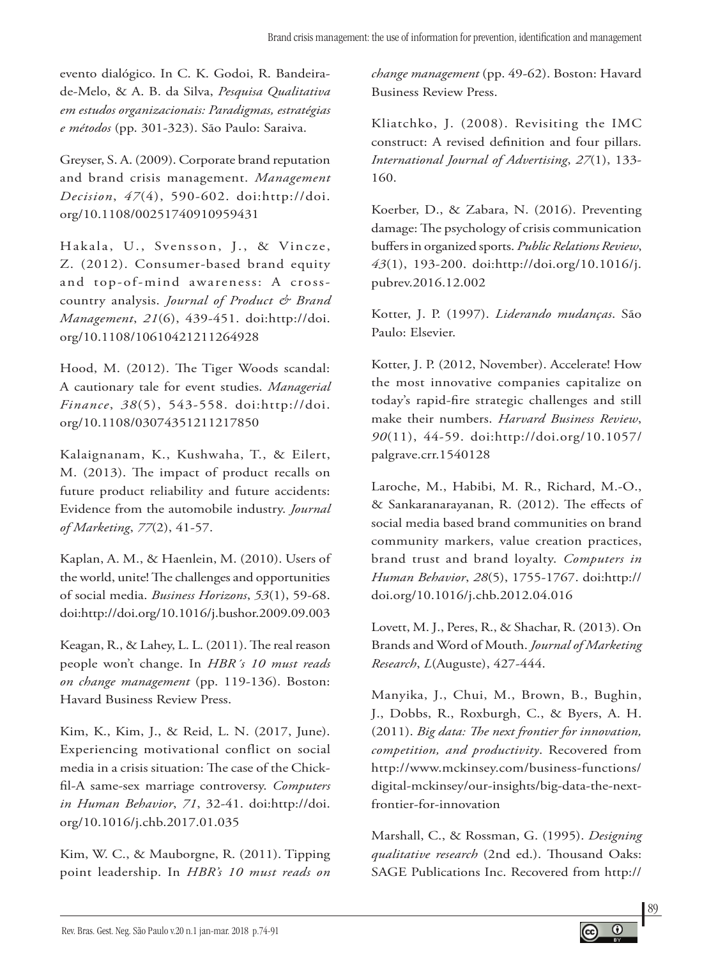evento dialógico. In C. K. Godoi, R. Bandeirade-Melo, & A. B. da Silva, *Pesquisa Qualitativa em estudos organizacionais: Paradigmas, estratégias e métodos* (pp. 301-323). São Paulo: Saraiva.

Greyser, S. A. (2009). Corporate brand reputation and brand crisis management. *Management Decision*, *47*(4), 590-602. doi:http://doi. org/10.1108/00251740910959431

Hakala, U., Svensson, J., & Vincze, Z. (2012). Consumer-based brand equity and top-of-mind awareness: A crosscountry analysis. *Journal of Product & Brand Management*, *21*(6), 439-451. doi:http://doi. org/10.1108/10610421211264928

Hood, M. (2012). The Tiger Woods scandal: A cautionary tale for event studies. *Managerial Finance*, *38*(5), 543-558. doi:http://doi. org/10.1108/03074351211217850

Kalaignanam, K., Kushwaha, T., & Eilert, M. (2013). The impact of product recalls on future product reliability and future accidents: Evidence from the automobile industry. *Journal of Marketing*, *77*(2), 41-57.

Kaplan, A. M., & Haenlein, M. (2010). Users of the world, unite! The challenges and opportunities of social media. *Business Horizons*, *53*(1), 59-68. doi:http://doi.org/10.1016/j.bushor.2009.09.003

Keagan, R., & Lahey, L. L. (2011). The real reason people won't change. In *HBR´s 10 must reads on change management* (pp. 119-136). Boston: Havard Business Review Press.

Kim, K., Kim, J., & Reid, L. N. (2017, June). Experiencing motivational conflict on social media in a crisis situation: The case of the Chickfil-A same-sex marriage controversy. *Computers in Human Behavior*, *71*, 32-41. doi:http://doi. org/10.1016/j.chb.2017.01.035

Kim, W. C., & Mauborgne, R. (2011). Tipping point leadership. In *HBR's 10 must reads on* 

*change management* (pp. 49-62). Boston: Havard Business Review Press.

Kliatchko, J. (2008). Revisiting the IMC construct: A revised definition and four pillars. *International Journal of Advertising*, *27*(1), 133- 160.

Koerber, D., & Zabara, N. (2016). Preventing damage: The psychology of crisis communication buffers in organized sports. *Public Relations Review*, *43*(1), 193-200. doi:http://doi.org/10.1016/j. pubrev.2016.12.002

Kotter, J. P. (1997). *Liderando mudanças*. São Paulo: Elsevier.

Kotter, J. P. (2012, November). Accelerate! How the most innovative companies capitalize on today's rapid-fire strategic challenges and still make their numbers. *Harvard Business Review*, *90*(11), 44-59. doi:http://doi.org/10.1057/ palgrave.crr.1540128

Laroche, M., Habibi, M. R., Richard, M.-O., & Sankaranarayanan, R. (2012). The effects of social media based brand communities on brand community markers, value creation practices, brand trust and brand loyalty. *Computers in Human Behavior*, *28*(5), 1755-1767. doi:http:// doi.org/10.1016/j.chb.2012.04.016

Lovett, M. J., Peres, R., & Shachar, R. (2013). On Brands and Word of Mouth. *Journal of Marketing Research*, *L*(Auguste), 427-444.

Manyika, J., Chui, M., Brown, B., Bughin, J., Dobbs, R., Roxburgh, C., & Byers, A. H. (2011). *Big data: The next frontier for innovation, competition, and productivity*. Recovered from http://www.mckinsey.com/business-functions/ digital-mckinsey/our-insights/big-data-the-nextfrontier-for-innovation

Marshall, C., & Rossman, G. (1995). *Designing qualitative research* (2nd ed.). Thousand Oaks: SAGE Publications Inc. Recovered from http://

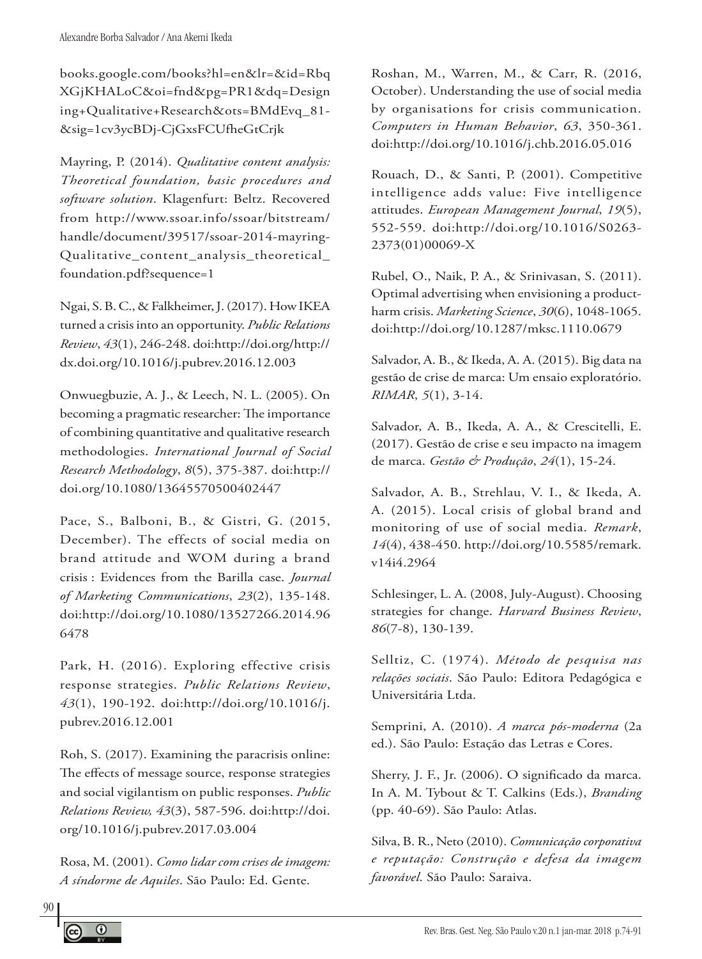books.google.com/books?hl=en&lr=&id=Rbq XGjKHALoC&oi=fnd&pg=PR1&dq=Design ing+Qualitative+Research&ots=BMdEvq\_81- &sig=1cv3ycBDj-CjGxsFCUfheGtCrjk

Mayring, P. (2014). *Qualitative content analysis: Theoretical foundation, basic procedures and software solution*. Klagenfurt: Beltz. Recovered from http://www.ssoar.info/ssoar/bitstream/ handle/document/39517/ssoar-2014-mayring-Qualitative content analysis theoretical foundation.pdf?sequence=1

Ngai, S. B. C., & Falkheimer, J. (2017). How IKEA turned a crisis into an opportunity. *Public Relations Review*, *43*(1), 246-248. doi:http://doi.org/http:// dx.doi.org/10.1016/j.pubrev.2016.12.003

Onwuegbuzie, A. J., & Leech, N. L. (2005). On becoming a pragmatic researcher: The importance of combining quantitative and qualitative research methodologies. *International Journal of Social Research Methodology*, *8*(5), 375-387. doi:http:// doi.org/10.1080/13645570500402447

Pace, S., Balboni, B., & Gistri, G. (2015, December). The effects of social media on brand attitude and WOM during a brand crisis : Evidences from the Barilla case. *Journal of Marketing Communications*, *23*(2), 135-148. doi:http://doi.org/10.1080/13527266.2014.96 6478

Park, H. (2016). Exploring effective crisis response strategies. *Public Relations Review*, *43*(1), 190-192. doi:http://doi.org/10.1016/j. pubrev.2016.12.001

Roh, S. (2017). Examining the paracrisis online: The effects of message source, response strategies and social vigilantism on public responses. *Public Relations Review, 43*(3), 587-596. doi:http://doi. org/10.1016/j.pubrev.2017.03.004

Rosa, M. (2001). *Como lidar com crises de imagem: A síndorme de Aquiles*. São Paulo: Ed. Gente.

Roshan, M., Warren, M., & Carr, R. (2016, October). Understanding the use of social media by organisations for crisis communication. *Computers in Human Behavior*, *63*, 350-361. doi:http://doi.org/10.1016/j.chb.2016.05.016

Rouach, D., & Santi, P. (2001). Competitive intelligence adds value: Five intelligence attitudes. *European Management Journal*, *19*(5), 552-559. doi:http://doi.org/10.1016/S0263- 2373(01)00069-X

Rubel, O., Naik, P. A., & Srinivasan, S. (2011). Optimal advertising when envisioning a productharm crisis. *Marketing Science*, *30*(6), 1048-1065. doi:http://doi.org/10.1287/mksc.1110.0679

Salvador, A. B., & Ikeda, A. A. (2015). Big data na gestão de crise de marca: Um ensaio exploratório. *RIMAR*, *5*(1), 3-14.

Salvador, A. B., Ikeda, A. A., & Crescitelli, E. (2017). Gestão de crise e seu impacto na imagem de marca. *Gestão & Produção*, *24*(1), 15-24.

Salvador, A. B., Strehlau, V. I., & Ikeda, A. A. (2015). Local crisis of global brand and monitoring of use of social media. *Remark*, *14*(4), 438-450. http://doi.org/10.5585/remark. v14i4.2964

Schlesinger, L. A. (2008, July-August). Choosing strategies for change. *Harvard Business Review*, *86*(7-8), 130-139.

Selltiz, C. (1974). *Método de pesquisa nas relações sociais*. São Paulo: Editora Pedagógica e Universitária Ltda.

Semprini, A. (2010). *A marca pós-moderna* (2a ed.). São Paulo: Estação das Letras e Cores.

Sherry, J. F., Jr. (2006). O significado da marca. In A. M. Tybout & T. Calkins (Eds.), *Branding*  (pp. 40-69). São Paulo: Atlas.

Silva, B. R., Neto (2010). *Comunicação corporativa e reputação: Construção e defesa da imagem favorável*. São Paulo: Saraiva.